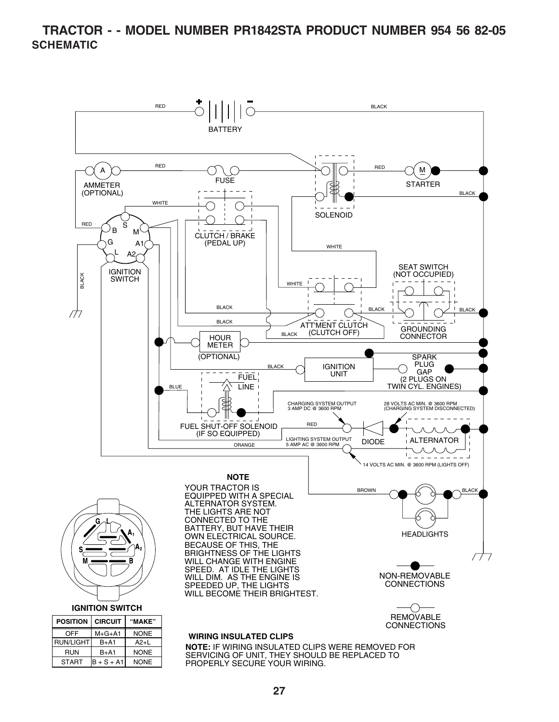#### **TRACTOR - - MODEL NUMBER PR1842STA PRODUCT NUMBER 954 56 82-05 SCHEMATIC**

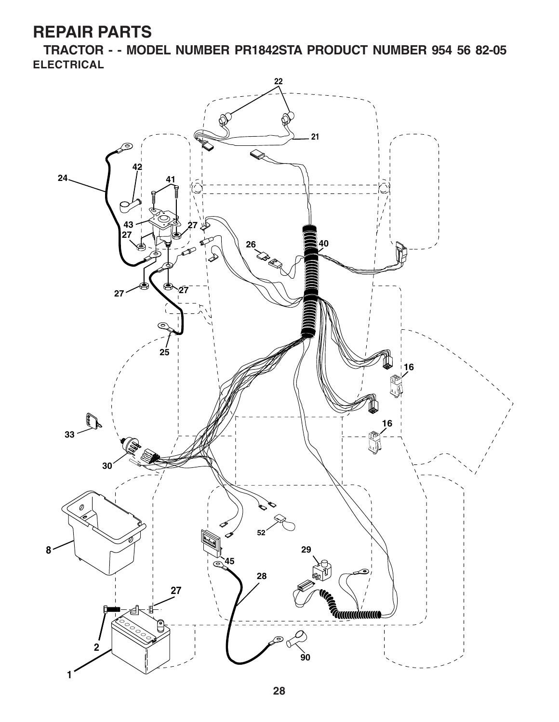**TRACTOR - - MODEL NUMBER PR1842STA PRODUCT NUMBER 954 56 82-05 ELECTRICAL**

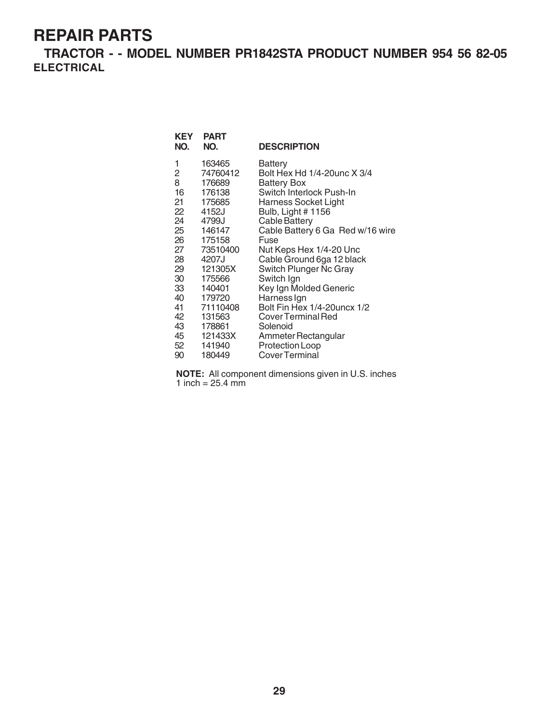**TRACTOR - - MODEL NUMBER PR1842STA PRODUCT NUMBER 954 56 82-05 ELECTRICAL**

| <b>KEY</b><br>NO.                                                                                                       | <b>PART</b><br>NO.                                                                                                                                                                                                  | <b>DESCRIPTION</b>                                                                                                                                                                                                                                                                                                                                                                                                                                                                       |
|-------------------------------------------------------------------------------------------------------------------------|---------------------------------------------------------------------------------------------------------------------------------------------------------------------------------------------------------------------|------------------------------------------------------------------------------------------------------------------------------------------------------------------------------------------------------------------------------------------------------------------------------------------------------------------------------------------------------------------------------------------------------------------------------------------------------------------------------------------|
| 1<br>2<br>8<br>16<br>21<br>22<br>24<br>25<br>26<br>27<br>28<br>29<br>30<br>33<br>40<br>41<br>42<br>43<br>45<br>52<br>90 | 163465<br>74760412<br>176689<br>176138<br>175685<br>4152J<br>4799J<br>146147<br>175158<br>73510400<br>4207J<br>121305X<br>175566<br>140401<br>179720<br>71110408<br>131563<br>178861<br>121433X<br>141940<br>180449 | Battery<br>Bolt Hex Hd 1/4-20unc X 3/4<br><b>Battery Box</b><br>Switch Interlock Push-In<br>Harness Socket Light<br>Bulb, Light # 1156<br><b>Cable Battery</b><br>Cable Battery 6 Ga Red w/16 wire<br>Fuse<br>Nut Keps Hex 1/4-20 Unc<br>Cable Ground 6ga 12 black<br>Switch Plunger Nc Gray<br>Switch Ign<br>Key Ign Molded Generic<br>Harness Ign<br>Bolt Fin Hex 1/4-20 uncx 1/2<br>Cover Terminal Red<br>Solenoid<br>Ammeter Rectangular<br><b>Protection Loop</b><br>Cover Terminal |
|                                                                                                                         |                                                                                                                                                                                                                     |                                                                                                                                                                                                                                                                                                                                                                                                                                                                                          |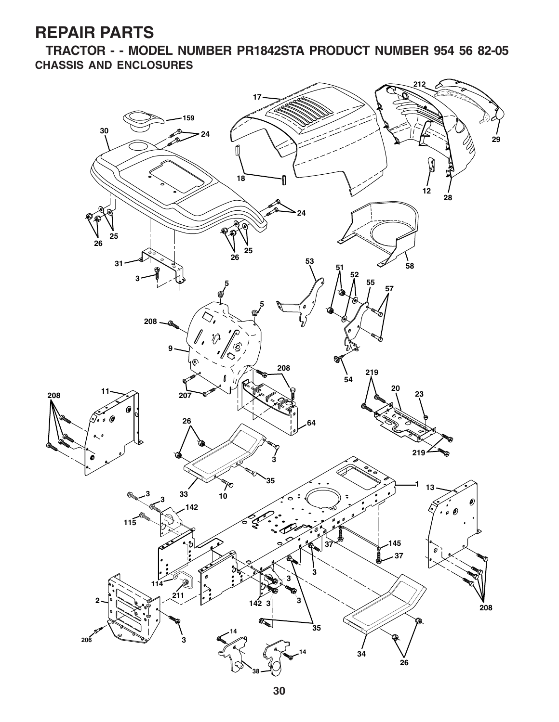**TRACTOR - - MODEL NUMBER PR1842STA PRODUCT NUMBER 954 56 82-05 CHASSIS AND ENCLOSURES**

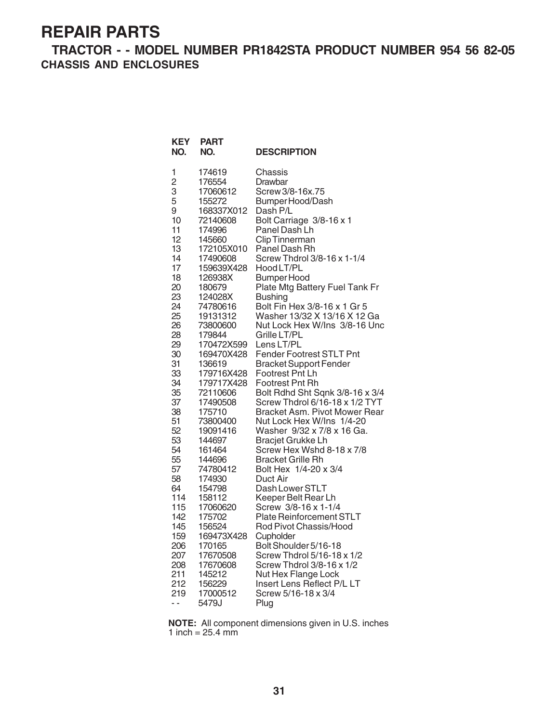**TRACTOR - - MODEL NUMBER PR1842STA PRODUCT NUMBER 954 56 82-05 CHASSIS AND ENCLOSURES**

| KEY<br>NO.     | <b>PART</b><br>NO. | <b>DESCRIPTION</b>              |
|----------------|--------------------|---------------------------------|
| 1              | 174619             | Chassis                         |
| $\overline{c}$ | 176554             | Drawbar                         |
| 3              | 17060612           | Screw 3/8-16x.75                |
| 5              | 155272             | Bumper Hood/Dash                |
| 9              | 168337X012         | Dash P/L                        |
| 10             | 72140608           | Bolt Carriage 3/8-16 x 1        |
| 11             | 174996             | Panel Dash Lh                   |
| 12             | 145660             | <b>Clip Tinnerman</b>           |
| 13             | 172105X010         | Panel Dash Rh                   |
| 14             | 17490608           | Screw Thdrol 3/8-16 x 1-1/4     |
| 17             | 159639X428         | Hood LT/PL                      |
| 18             | 126938X            | Bumper Hood                     |
| 20             | 180679             | Plate Mtg Battery Fuel Tank Fr  |
| 23             | 124028X            | <b>Bushing</b>                  |
| 24             | 74780616           | Bolt Fin Hex 3/8-16 x 1 Gr 5    |
| 25             | 19131312           | Washer 13/32 X 13/16 X 12 Ga    |
| 26             | 73800600           | Nut Lock Hex W/Ins 3/8-16 Unc   |
| 28             | 179844             | Grille LT/PL                    |
| 29             | 170472X599         | Lens LT/PL                      |
| 30             | 169470X428         | Fender Footrest STLT Pnt        |
| 31             | 136619             | <b>Bracket Support Fender</b>   |
| 33             | 179716X428         | Footrest Pnt Lh                 |
| 34             | 179717X428         | <b>Footrest Pnt Rh</b>          |
| 35             | 72110606           | Bolt Rdhd Sht Sqnk 3/8-16 x 3/4 |
| 37             | 17490508           | Screw Thdrol 6/16-18 x 1/2 TYT  |
| 38             | 175710             | Bracket Asm. Pivot Mower Rear   |
| 51             | 73800400           | Nut Lock Hex W/Ins 1/4-20       |
| 52             | 19091416           | Washer 9/32 x 7/8 x 16 Ga.      |
| 53             | 144697             | Bracjet Grukke Lh               |
| 54             | 161464             | Screw Hex Wshd 8-18 x 7/8       |
| 55             | 144696             | <b>Bracket Grille Rh</b>        |
| 57             | 74780412           | Bolt Hex 1/4-20 x 3/4           |
| 58             | 174930             | Duct Air                        |
| 64             | 154798             | Dash Lower STLT                 |
| 114            | 158112             | Keeper Belt Rear Lh             |
| 115            | 17060620           | Screw 3/8-16 x 1-1/4            |
| 142            | 175702             | <b>Plate Reinforcement STLT</b> |
| 145            | 156524             | Rod Pivot Chassis/Hood          |
| 159            | 169473X428         | Cupholder                       |
| 206            | 170165             | Bolt Shoulder 5/16-18           |
| 207            | 17670508           | Screw Thdrol 5/16-18 x 1/2      |
| 208            | 17670608           | Screw Thdrol 3/8-16 x 1/2       |
| 211            | 145212             | Nut Hex Flange Lock             |
| 212            | 156229             | Insert Lens Reflect P/L LT      |
| 219            | 17000512           | Screw 5/16-18 x 3/4             |
| - -            | 5479J              | Plug                            |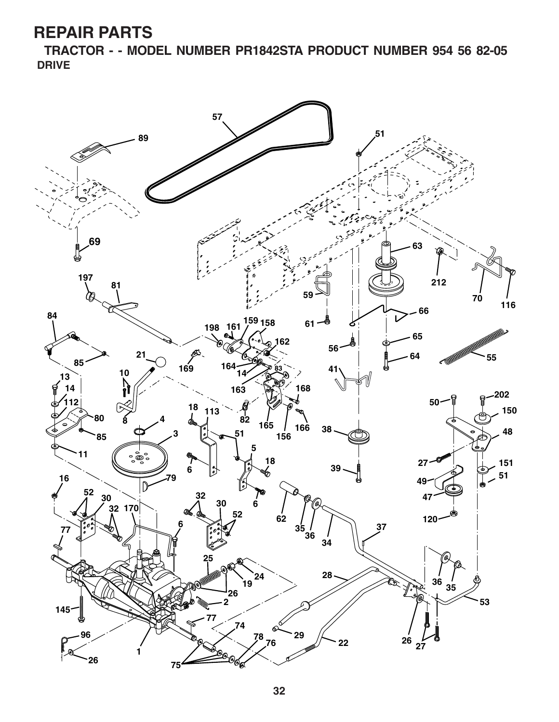**TRACTOR - - MODEL NUMBER PR1842STA PRODUCT NUMBER 954 56 82-05 DRIVE**

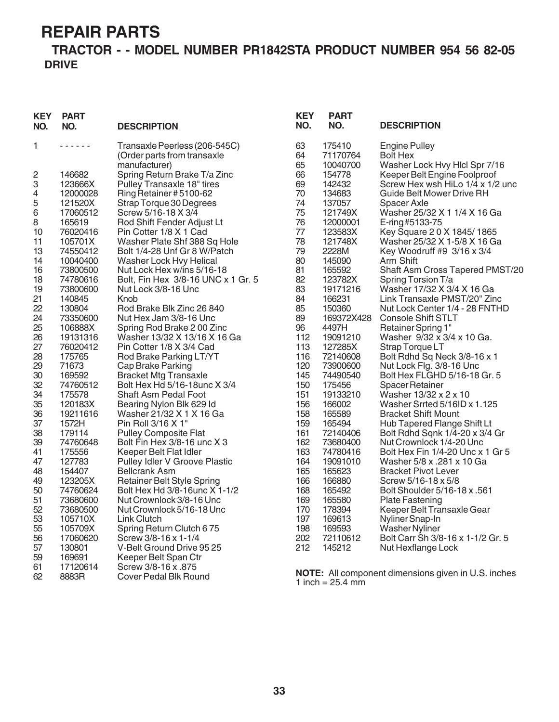#### **TRACTOR - - MODEL NUMBER PR1842STA PRODUCT NUMBER 954 56 82-05 DRIVE**

| <b>KEY</b><br>NO. | <b>PART</b><br>NO.                                                                                                                                                              | <b>DESCRIPTION</b>                                           | <b>KEY</b><br>NO. | <b>PART</b><br>NO.           | <b>DESCRIPTION</b>                                               |
|-------------------|---------------------------------------------------------------------------------------------------------------------------------------------------------------------------------|--------------------------------------------------------------|-------------------|------------------------------|------------------------------------------------------------------|
| 1                 | $\frac{1}{2} \left( \frac{1}{2} \right) \left( \frac{1}{2} \right) \left( \frac{1}{2} \right) \left( \frac{1}{2} \right) \left( \frac{1}{2} \right) \left( \frac{1}{2} \right)$ | Transaxle Peerless (206-545C)<br>(Order parts from transaxle | 63<br>64          | 175410<br>71170764           | <b>Engine Pulley</b><br><b>Bolt Hex</b>                          |
|                   |                                                                                                                                                                                 | manufacturer)                                                | 65                | 10040700                     | Washer Lock Hvy Hlcl Spr 7/16                                    |
|                   | 146682                                                                                                                                                                          |                                                              | 66                | 154778                       |                                                                  |
| 2                 |                                                                                                                                                                                 | Spring Return Brake T/a Zinc                                 | 69                | 142432                       | Keeper Belt Engine Foolproof<br>Screw Hex wsh HiLo 1/4 x 1/2 unc |
| 3                 | 123666X                                                                                                                                                                         | Pulley Transaxle 18" tires                                   |                   |                              |                                                                  |
| 4                 | 12000028                                                                                                                                                                        | Ring Retainer #5100-62                                       | 70                | 134683                       | Guide Belt Mower Drive RH                                        |
| 5                 | 121520X                                                                                                                                                                         | Strap Torque 30 Degrees                                      | 74                | 137057                       | Spacer Axle                                                      |
| 6                 | 17060512                                                                                                                                                                        | Screw 5/16-18 X 3/4                                          | 75<br>76          | 121749X                      | Washer 25/32 X 1 1/4 X 16 Ga                                     |
| 8                 | 165619                                                                                                                                                                          | Rod Shift Fender Adjust Lt                                   | 77                | 12000001                     | E-ring #5133-75                                                  |
| 10                | 76020416                                                                                                                                                                        | Pin Cotter 1/8 X 1 Cad                                       | 78                | 123583X                      | Key Square 20 X 1845/1865                                        |
| 11                | 105701X                                                                                                                                                                         | Washer Plate Shf 388 Sq Hole                                 |                   | 121748X                      | Washer 25/32 X 1-5/8 X 16 Ga                                     |
| 13                | 74550412                                                                                                                                                                        | Bolt 1/4-28 Unf Gr 8 W/Patch                                 | 79<br>80          | 2228M<br>145090              | Key Woodruff #9 3/16 x 3/4                                       |
| 14                | 10040400<br>73800500                                                                                                                                                            | Washer Lock Hvy Helical                                      | 81                | 165592                       | Arm Shift                                                        |
| 16                |                                                                                                                                                                                 | Nut Lock Hex w/ins 5/16-18                                   |                   |                              | Shaft Asm Cross Tapered PMST/20                                  |
| 18                | 74780616                                                                                                                                                                        | Bolt, Fin Hex 3/8-16 UNC x 1 Gr. 5                           | 82                | 123782X                      | Spring Torsion T/a                                               |
| 19                | 73800600<br>140845                                                                                                                                                              | Nut Lock 3/8-16 Unc<br>Knob                                  | 83<br>84          | 19171216<br>166231           | Washer 17/32 X 3/4 X 16 Ga                                       |
| 21<br>22          | 130804                                                                                                                                                                          | Rod Brake Blk Zinc 26 840                                    | 85                | 150360                       | Link Transaxle PMST/20" Zinc                                     |
| 24                |                                                                                                                                                                                 |                                                              | 89                | 169372X428                   | Nut Lock Center 1/4 - 28 FNTHD<br><b>Console Shift STLT</b>      |
|                   | 73350600<br>106888X                                                                                                                                                             | Nut Hex Jam 3/8-16 Unc<br>Spring Rod Brake 200 Zinc          | 96                | 4497H                        |                                                                  |
| 25<br>26          |                                                                                                                                                                                 | Washer 13/32 X 13/16 X 16 Ga                                 | 112               | 19091210                     | <b>Retainer Spring 1"</b><br>Washer 9/32 x 3/4 x 10 Ga.          |
| 27                | 19131316<br>76020412                                                                                                                                                            | Pin Cotter 1/8 X 3/4 Cad                                     | 113               | 127285X                      |                                                                  |
| 28                | 175765                                                                                                                                                                          | Rod Brake Parking LT/YT                                      | 116               | 72140608                     | Strap Torque LT<br>Bolt Rdhd Sq Neck 3/8-16 x 1                  |
| 29                | 71673                                                                                                                                                                           | Cap Brake Parking                                            | 120               | 73900600                     | Nut Lock Flg. 3/8-16 Unc                                         |
| 30                | 169592                                                                                                                                                                          | <b>Bracket Mtg Transaxle</b>                                 | 145               | 74490540                     | Bolt Hex FLGHD 5/16-18 Gr. 5                                     |
| 32                | 74760512                                                                                                                                                                        | Bolt Hex Hd 5/16-18unc X 3/4                                 | 150               | 175456                       | <b>Spacer Retainer</b>                                           |
| 34                | 175578                                                                                                                                                                          | Shaft Asm Pedal Foot                                         | 151               | 19133210                     | Washer 13/32 x 2 x 10                                            |
| 35                | 120183X                                                                                                                                                                         | Bearing Nylon Blk 629 Id                                     | 156               | 166002                       | Washer Srrted 5/16ID x 1.125                                     |
| 36                | 19211616                                                                                                                                                                        | Washer 21/32 X 1 X 16 Ga                                     | 158               | 165589                       | <b>Bracket Shift Mount</b>                                       |
| 37                | 1572H                                                                                                                                                                           | Pin Roll 3/16 X 1"                                           | 159               | 165494                       | Hub Tapered Flange Shift Lt                                      |
| 38                | 179114                                                                                                                                                                          | <b>Pulley Composite Flat</b>                                 | 161               | 72140406                     | Bolt Rdhd Sqnk 1/4-20 x 3/4 Gr                                   |
| 39                | 74760648                                                                                                                                                                        | Bolt Fin Hex 3/8-16 unc X 3                                  | 162               | 73680400                     | Nut Crownlock 1/4-20 Unc                                         |
| 41                | 175556                                                                                                                                                                          | Keeper Belt Flat Idler                                       | 163               | 74780416                     | Bolt Hex Fin 1/4-20 Unc x 1 Gr 5                                 |
| 47                | 127783                                                                                                                                                                          | Pulley Idler V Groove Plastic                                | 164               | 19091010                     | Washer 5/8 x .281 x 10 Ga                                        |
| 48                | 154407                                                                                                                                                                          | <b>Bellcrank Asm</b>                                         | 165               | 165623                       | <b>Bracket Pivot Lever</b>                                       |
| 49                | 123205X                                                                                                                                                                         | <b>Retainer Belt Style Spring</b>                            | 166               | 166880                       | Screw 5/16-18 x 5/8                                              |
| 50                | 74760624                                                                                                                                                                        | Bolt Hex Hd 3/8-16unc X 1-1/2                                | 168               | 165492                       | Bolt Shoulder 5/16-18 x .561                                     |
| 51                | 73680600                                                                                                                                                                        | Nut Crownlock 3/8-16 Unc                                     | 169               | 165580                       | <b>Plate Fastening</b>                                           |
| 52                | 73680500                                                                                                                                                                        | Nut Crownlock 5/16-18 Unc                                    | 170               | 178394                       | Keeper Belt Transaxle Gear                                       |
| 53                | 105710X                                                                                                                                                                         | <b>Link Clutch</b>                                           | 197               | 169613                       | Nyliner Snap-In                                                  |
| 55                | 105709X                                                                                                                                                                         | Spring Return Clutch 675                                     | 198               | 169593                       | Washer Nyliner                                                   |
| 56                | 17060620                                                                                                                                                                        | Screw 3/8-16 x 1-1/4                                         | 202               | 72110612                     | Bolt Carr Sh 3/8-16 x 1-1/2 Gr. 5                                |
| 57                | 130801                                                                                                                                                                          | V-Belt Ground Drive 95 25                                    | 212               | 145212                       | Nut Hexflange Lock                                               |
| 59                | 169691                                                                                                                                                                          | Keeper Belt Span Ctr                                         |                   |                              |                                                                  |
| 61                | 17120614                                                                                                                                                                        | Screw 3/8-16 x .875                                          |                   |                              |                                                                  |
| 62                | 8883R                                                                                                                                                                           | <b>Cover Pedal Blk Round</b>                                 |                   | 1 inch = $25.4 \, \text{mm}$ | <b>NOTE:</b> All component dimensions given in U.S. inches       |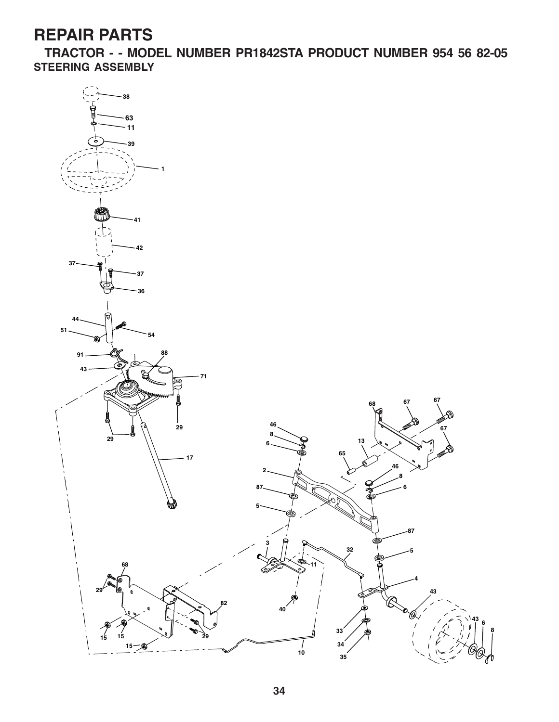**TRACTOR - - MODEL NUMBER PR1842STA PRODUCT NUMBER 954 56 82-05 STEERING ASSEMBLY**

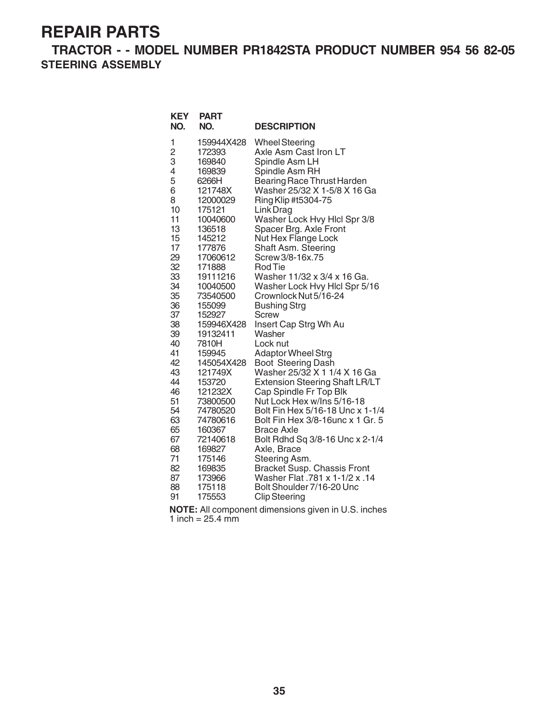**TRACTOR - - MODEL NUMBER PR1842STA PRODUCT NUMBER 954 56 82-05 STEERING ASSEMBLY**

| <b>KEY</b><br>NO. | <b>PART</b><br>NO. | <b>DESCRIPTION</b>                                   |
|-------------------|--------------------|------------------------------------------------------|
| 1                 | 159944X428         | <b>Wheel Steering</b>                                |
| $\overline{c}$    | 172393             | Axle Asm Cast Iron LT                                |
| 3                 | 169840             | Spindle Asm LH                                       |
| 4                 | 169839             | Spindle Asm RH                                       |
| 5                 | 6266H              | Bearing Race Thrust Harden                           |
| 6                 | 121748X            | Washer 25/32 X 1-5/8 X 16 Ga                         |
| 8<br>10           | 12000029           | Ring Klip #t5304-75                                  |
| 11                | 175121<br>10040600 | Link Drag<br>Washer Lock Hvy Hicl Spr 3/8            |
| 13                | 136518             | Spacer Brg. Axle Front                               |
| 15                | 145212             | Nut Hex Flange Lock                                  |
| 17                | 177876             | Shaft Asm. Steering                                  |
| 29                | 17060612           | Screw 3/8-16x.75                                     |
| 32                | 171888             | <b>Rod Tie</b>                                       |
| 33                | 19111216           | Washer 11/32 x 3/4 x 16 Ga.                          |
| 34                | 10040500           | Washer Lock Hvy Hlcl Spr 5/16                        |
| 35                | 73540500           | Crownlock Nut 5/16-24                                |
| 36                | 155099             | <b>Bushing Strg</b>                                  |
| 37                | 152927             | <b>Screw</b>                                         |
| 38                | 159946X428         | Insert Cap Strg Wh Au                                |
| 39                | 19132411           | Washer                                               |
| 40                | 7810H              | Lock nut                                             |
| 41                | 159945             | <b>Adaptor Wheel Strg</b>                            |
| 42                | 145054X428         | Boot Steering Dash                                   |
| 43                | 121749X            | Washer 25/32 X 1 1/4 X 16 Ga                         |
| 44<br>46          | 153720<br>121232X  | <b>Extension Steering Shaft LR/LT</b>                |
| 51                | 73800500           | Cap Spindle Fr Top Blk<br>Nut Lock Hex w/Ins 5/16-18 |
| 54                | 74780520           | Bolt Fin Hex 5/16-18 Unc x 1-1/4                     |
| 63                | 74780616           | Bolt Fin Hex 3/8-16unc x 1 Gr. 5                     |
| 65                | 160367             | <b>Brace Axle</b>                                    |
| 67                | 72140618           | Bolt Rdhd Sq 3/8-16 Unc x 2-1/4                      |
| 68                | 169827             | Axle, Brace                                          |
| 71                | 175146             | Steering Asm.                                        |
| 82                | 169835             | Bracket Susp. Chassis Front                          |
| 87                | 173966             | Washer Flat .781 x 1-1/2 x .14                       |
| 88                | 175118             | Bolt Shoulder 7/16-20 Unc                            |
| 91                | 175553             | <b>Clip Steering</b>                                 |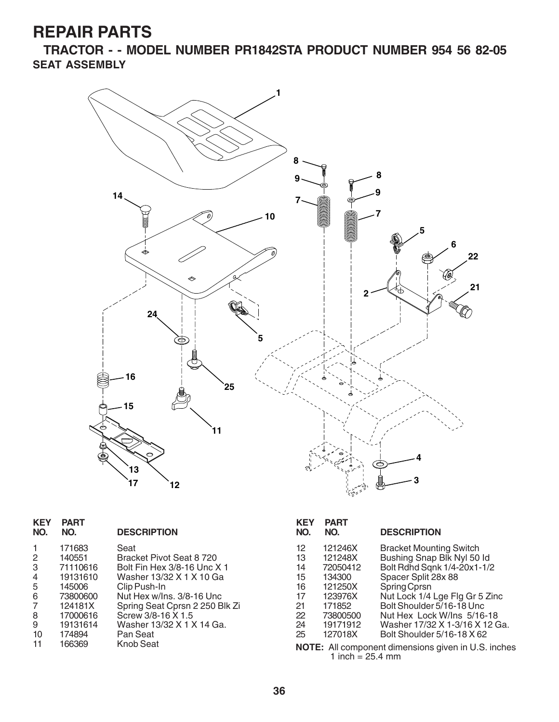**TRACTOR - - MODEL NUMBER PR1842STA PRODUCT NUMBER 954 56 82-05 SEAT ASSEMBLY**



| <b>KEY</b><br>NO. | <b>PART</b><br>NO. | <b>DESCRIPTION</b>             | <b>KEY</b><br>NO. | <b>PART</b><br>NO. | <b>DESCRIPTION</b>                                  |
|-------------------|--------------------|--------------------------------|-------------------|--------------------|-----------------------------------------------------|
|                   | 171683             | Seat                           | 12                | 121246X            | <b>Bracket Mounting Switch</b>                      |
| $\overline{c}$    | 140551             | Bracket Pivot Seat 8 720       | 13                | 121248X            | Bushing Snap Blk Nyl 50 ld                          |
| 3                 | 71110616           | Bolt Fin Hex 3/8-16 Unc X 1    | 14                | 72050412           | Bolt Rdhd Sqnk 1/4-20x1-1/2                         |
| 4                 | 19131610           | Washer 13/32 X 1 X 10 Ga       | 15                | 134300             | Spacer Split 28x 88                                 |
| 5                 | 145006             | Clip Push-In                   | 16                | 121250X            | Spring Cprsn                                        |
| 6                 | 73800600           | Nut Hex w/Ins. 3/8-16 Unc      | 17                | 123976X            | Nut Lock 1/4 Lge Flg Gr 5 Zinc                      |
| 7                 | 124181X            | Spring Seat Cprsn 2 250 Blk Zi | 21                | 171852             | Bolt Shoulder 5/16-18 Unc                           |
| 8                 | 17000616           | Screw 3/8-16 X 1.5             | 22                | 73800500           | Nut Hex Lock W/Ins 5/16-18                          |
| 9                 | 19131614           | Washer 13/32 X 1 X 14 Ga.      | 24                | 19171912           | Washer 17/32 X 1-3/16 X 12 Ga.                      |
| 10                | 174894             | Pan Seat                       | 25                | 127018X            | Bolt Shoulder 5/16-18 X 62                          |
| 11                | 166369             | Knob Seat                      |                   | 1 inch = $25.4$ mm | NOTE: All component dimensions given in U.S. inches |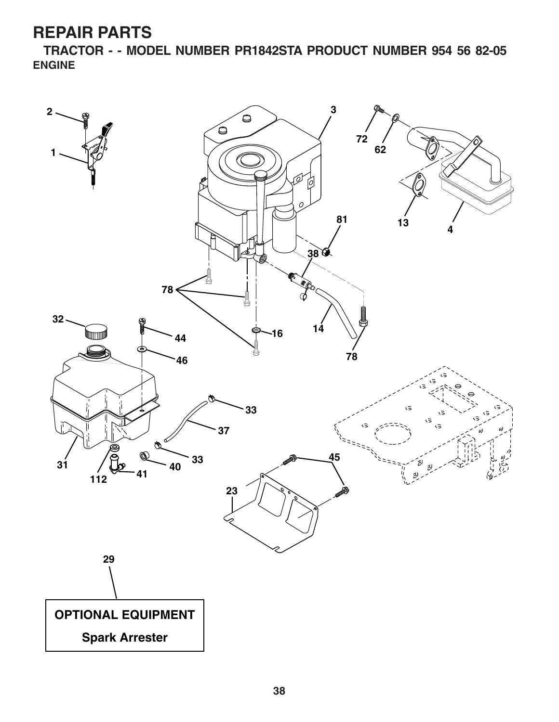**TRACTOR - - MODEL NUMBER PR1842STA PRODUCT NUMBER 954 56 82-05 ENGINE**

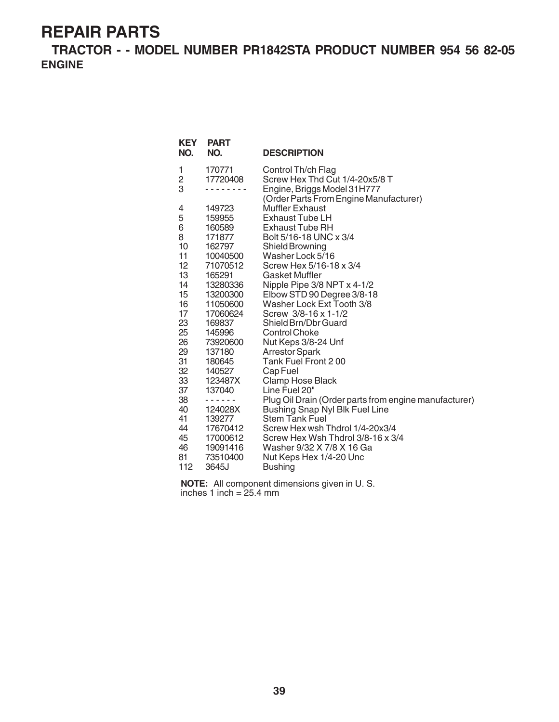**TRACTOR - - MODEL NUMBER PR1842STA PRODUCT NUMBER 954 56 82-05 ENGINE**

| <b>KEY</b><br>NO.                                                                              | <b>PART</b><br>NO.                                                                                                                                                                   | <b>DESCRIPTION</b>                                                                                                                                                                                                                                                                                                                                                                                                                                                          |
|------------------------------------------------------------------------------------------------|--------------------------------------------------------------------------------------------------------------------------------------------------------------------------------------|-----------------------------------------------------------------------------------------------------------------------------------------------------------------------------------------------------------------------------------------------------------------------------------------------------------------------------------------------------------------------------------------------------------------------------------------------------------------------------|
| 1<br>2<br>3                                                                                    | 170771<br>17720408                                                                                                                                                                   | Control Th/ch Flag<br>Screw Hex Thd Cut 1/4-20x5/8 T<br>Engine, Briggs Model 31H777                                                                                                                                                                                                                                                                                                                                                                                         |
| 4<br>5<br>6<br>8<br>10<br>11<br>12<br>13<br>14<br>15<br>16<br>17<br>23<br>25<br>26<br>29<br>31 | 149723<br>159955<br>160589<br>171877<br>162797<br>10040500<br>71070512<br>165291<br>13280336<br>13200300<br>11050600<br>17060624<br>169837<br>145996<br>73920600<br>137180<br>180645 | (Order Parts From Engine Manufacturer)<br><b>Muffler Exhaust</b><br><b>Exhaust Tube LH</b><br><b>Exhaust Tube RH</b><br>Bolt 5/16-18 UNC x 3/4<br>Shield Browning<br>Washer Lock 5/16<br>Screw Hex 5/16-18 x 3/4<br>Gasket Muffler<br>Nipple Pipe 3/8 NPT x 4-1/2<br>Elbow STD 90 Degree 3/8-18<br>Washer Lock Ext Tooth 3/8<br>Screw 3/8-16 x 1-1/2<br>Shield Brn/Dbr Guard<br><b>Control Choke</b><br>Nut Keps 3/8-24 Unf<br><b>Arrestor Spark</b><br>Tank Fuel Front 200 |
| 32                                                                                             | 140527                                                                                                                                                                               | Cap Fuel                                                                                                                                                                                                                                                                                                                                                                                                                                                                    |
| 33                                                                                             | 123487X                                                                                                                                                                              | Clamp Hose Black                                                                                                                                                                                                                                                                                                                                                                                                                                                            |
| 37                                                                                             | 137040                                                                                                                                                                               | Line Fuel 20"                                                                                                                                                                                                                                                                                                                                                                                                                                                               |
| 38                                                                                             | - - - - - -                                                                                                                                                                          | Plug Oil Drain (Order parts from engine manufacturer)                                                                                                                                                                                                                                                                                                                                                                                                                       |
| 40                                                                                             | 124028X                                                                                                                                                                              | <b>Bushing Snap Nyl Blk Fuel Line</b>                                                                                                                                                                                                                                                                                                                                                                                                                                       |
| 41                                                                                             | 139277                                                                                                                                                                               | <b>Stem Tank Fuel</b>                                                                                                                                                                                                                                                                                                                                                                                                                                                       |
| 44                                                                                             | 17670412                                                                                                                                                                             | Screw Hex wsh Thdrol 1/4-20x3/4                                                                                                                                                                                                                                                                                                                                                                                                                                             |
| 45                                                                                             | 17000612                                                                                                                                                                             | Screw Hex Wsh Thdrol 3/8-16 x 3/4                                                                                                                                                                                                                                                                                                                                                                                                                                           |
| 46                                                                                             | 19091416                                                                                                                                                                             | Washer 9/32 X 7/8 X 16 Ga                                                                                                                                                                                                                                                                                                                                                                                                                                                   |
| 81                                                                                             | 73510400                                                                                                                                                                             | Nut Keps Hex 1/4-20 Unc                                                                                                                                                                                                                                                                                                                                                                                                                                                     |
| 112                                                                                            | 3645J                                                                                                                                                                                | Bushing                                                                                                                                                                                                                                                                                                                                                                                                                                                                     |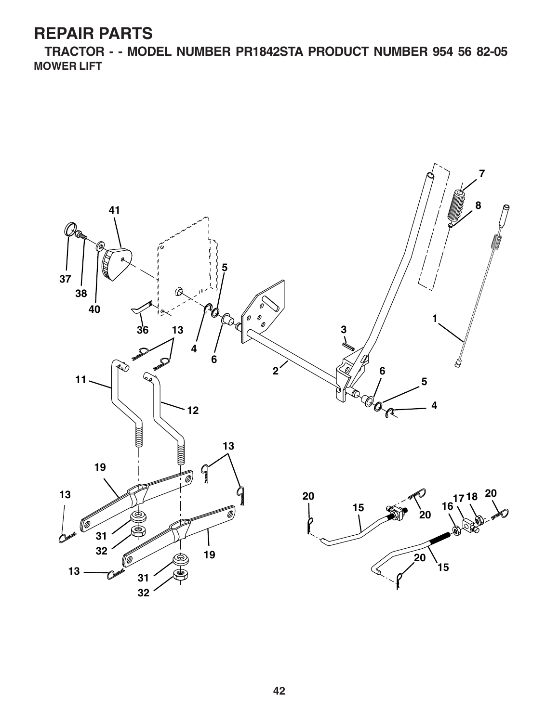**TRACTOR - - MODEL NUMBER PR1842STA PRODUCT NUMBER 954 56 82-05 MOWER LIFT**

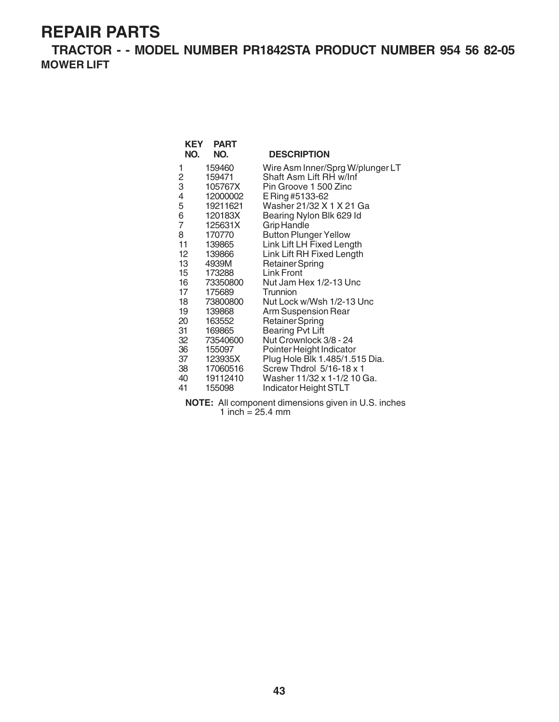**TRACTOR - - MODEL NUMBER PR1842STA PRODUCT NUMBER 954 56 82-05 MOWER LIFT**

| <b>KEY</b>       | <b>PART</b> |                                  |
|------------------|-------------|----------------------------------|
| NO.              | NO.         | <b>DESCRIPTION</b>               |
| 1                | 159460      | Wire Asm Inner/Sprg W/plunger LT |
| 2                | 159471      | Shaft Asm Lift RH w/Inf          |
| 3                | 105767X     | Pin Groove 1 500 Zinc            |
| 4                | 12000002    | E Ring #5133-62                  |
| 5                | 19211621    | Washer 21/32 X 1 X 21 Ga         |
| 6                | 120183X     | Bearing Nylon Blk 629 Id         |
| $\overline{7}$   | 125631X     | Grip Handle                      |
| 8                | 170770      | <b>Button Plunger Yellow</b>     |
| 11               | 139865      | Link Lift LH Fixed Length        |
| 12 <sup>12</sup> | 139866      | Link Lift RH Fixed Length        |
| 13               | 4939M       | <b>Retainer Spring</b>           |
|                  | 15 173288   | <b>Link Front</b>                |
|                  | 16 73350800 | Nut Jam Hex 1/2-13 Unc           |
| 17               | 175689      | Trunnion                         |
|                  | 18 73800800 | Nut Lock w/Wsh 1/2-13 Unc        |
| 19               | 139868      | Arm Suspension Rear              |
| 20               | 163552      | Retainer Spring                  |
| 31               | 169865      | <b>Bearing Pvt Lift</b>          |
| 32               | 73540600    | Nut Crownlock 3/8 - 24           |
| 36               | 155097      | Pointer Height Indicator         |
| 37               | 123935X     | Plug Hole Blk 1.485/1.515 Dia.   |
|                  | 38 17060516 | Screw Thdrol 5/16-18 x 1         |
| 40               | 19112410    | Washer 11/32 x 1-1/2 10 Ga.      |
| 41               | 155098      | <b>Indicator Height STLT</b>     |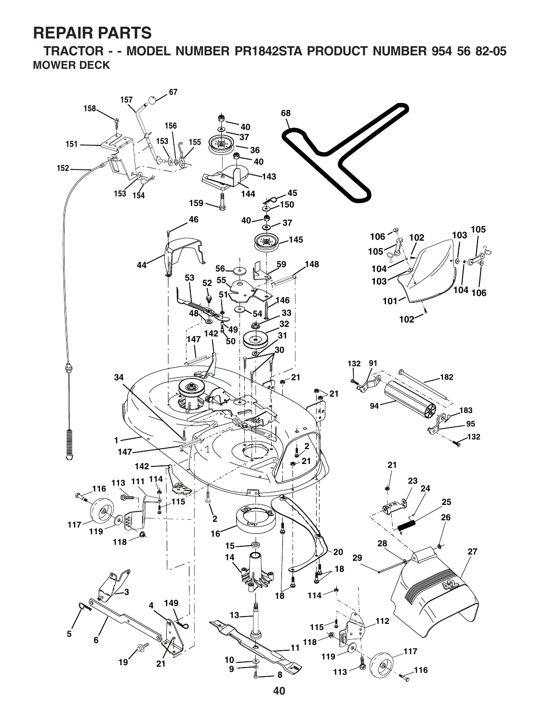**TRACTOR - - MODEL NUMBER PR1842STA PRODUCT NUMBER 954 56 82-05 MOWER DECK**

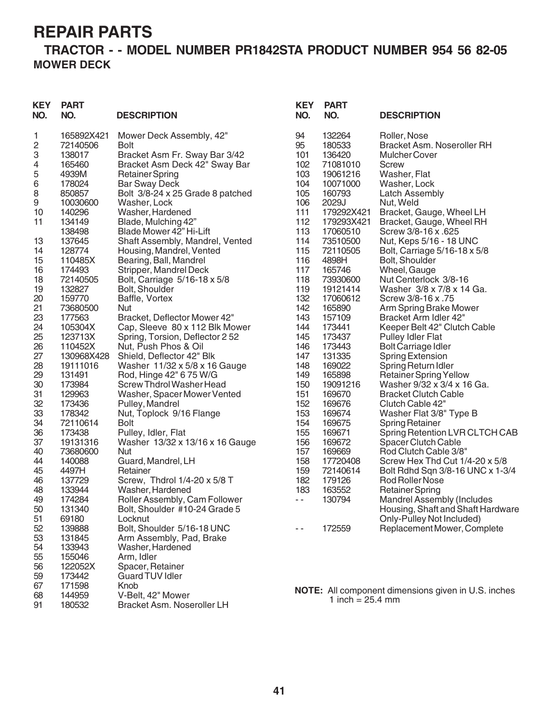#### **TRACTOR - - MODEL NUMBER PR1842STA PRODUCT NUMBER 954 56 82-05 MOWER DECK**

| <b>KEY</b><br>NO. | <b>PART</b><br>NO. | <b>DESCRIPTION</b>                                             | <b>KEY</b><br>NO. | <b>PART</b><br>NO.   | <b>DESCRIPTION</b>                                             |
|-------------------|--------------------|----------------------------------------------------------------|-------------------|----------------------|----------------------------------------------------------------|
| 1                 | 165892X421         | Mower Deck Assembly, 42"                                       | 94                | 132264               | Roller, Nose                                                   |
| 2                 | 72140506           | <b>Bolt</b>                                                    | 95                | 180533               | Bracket Asm. Noseroller RH                                     |
| 3                 | 138017<br>165460   | Bracket Asm Fr. Sway Bar 3/42<br>Bracket Asm Deck 42" Sway Bar | 101<br>102        | 136420<br>71081010   | <b>Mulcher Cover</b><br><b>Screw</b>                           |
| 4<br>5            | 4939M              | <b>Retainer Spring</b>                                         | 103               | 19061216             | Washer, Flat                                                   |
| $\,$ 6 $\,$       | 178024             | <b>Bar Sway Deck</b>                                           | 104               | 10071000             | Washer, Lock                                                   |
| 8                 | 850857             | Bolt 3/8-24 x 25 Grade 8 patched                               | 105               | 160793               | <b>Latch Assembly</b>                                          |
| 9                 | 10030600           | Washer, Lock                                                   | 106               | 2029J                | Nut, Weld                                                      |
| 10                | 140296             | Washer, Hardened                                               | 111               | 179292X421           | Bracket, Gauge, Wheel LH                                       |
| 11                | 134149             | Blade, Mulching 42"                                            | 112               | 179293X421           | Bracket, Gauge, Wheel RH                                       |
|                   | 138498             | Blade Mower 42" Hi-Lift                                        | 113               | 17060510             | Screw 3/8-16 x .625                                            |
| 13                | 137645             | Shaft Assembly, Mandrel, Vented                                | 114               | 73510500             | Nut, Keps 5/16 - 18 UNC                                        |
| 14                | 128774             | Housing, Mandrel, Vented                                       | 115               | 72110505             | Bolt, Carriage 5/16-18 x 5/8                                   |
| 15                | 110485X            | Bearing, Ball, Mandrel                                         | 116               | 4898H                | Bolt, Shoulder                                                 |
| 16                | 174493             | Stripper, Mandrel Deck                                         | 117               | 165746               | Wheel, Gauge                                                   |
| 18                | 72140505           | Bolt, Carriage 5/16-18 x 5/8<br>Bolt, Shoulder                 | 118<br>119        | 73930600             | Nut Centerlock 3/8-16<br>Washer 3/8 x 7/8 x 14 Ga.             |
| 19<br>20          | 132827<br>159770   | Baffle, Vortex                                                 | 132               | 19121414<br>17060612 | Screw 3/8-16 x .75                                             |
| 21                | 73680500           | Nut                                                            | 142               | 165890               | Arm Spring Brake Mower                                         |
| 23                | 177563             | Bracket, Deflector Mower 42"                                   | 143               | 157109               | Bracket Arm Idler 42"                                          |
| 24                | 105304X            | Cap, Sleeve 80 x 112 Blk Mower                                 | 144               | 173441               | Keeper Belt 42" Clutch Cable                                   |
| 25                | 123713X            | Spring, Torsion, Deflector 2 52                                | 145               | 173437               | <b>Pulley Idler Flat</b>                                       |
| 26                | 110452X            | Nut, Push Phos & Oil                                           | 146               | 173443               | <b>Bolt Carriage Idler</b>                                     |
| 27                | 130968X428         | Shield, Deflector 42" Blk                                      | 147               | 131335               | <b>Spring Extension</b>                                        |
| 28                | 19111016           | Washer 11/32 x 5/8 x 16 Gauge                                  | 148               | 169022               | Spring Return Idler                                            |
| 29                | 131491             | Rod, Hinge 42" 6 75 W/G                                        | 149               | 165898               | <b>Retainer Spring Yellow</b>                                  |
| 30                | 173984             | Screw Thdrol Washer Head                                       | 150               | 19091216             | Washer 9/32 x 3/4 x 16 Ga.                                     |
| 31<br>32          | 129963<br>173436   | Washer, Spacer Mower Vented<br>Pulley, Mandrel                 | 151<br>152        | 169670<br>169676     | <b>Bracket Clutch Cable</b><br>Clutch Cable 42"                |
| 33                | 178342             | Nut, Toplock 9/16 Flange                                       | 153               | 169674               | Washer Flat 3/8" Type B                                        |
| 34                | 72110614           | <b>Bolt</b>                                                    | 154               | 169675               | <b>Spring Retainer</b>                                         |
| 36                | 173438             | Pulley, Idler, Flat                                            | 155               | 169671               | Spring Retention LVR CLTCH CAB                                 |
| 37                | 19131316           | Washer 13/32 x 13/16 x 16 Gauge                                | 156               | 169672               | Spacer Clutch Cable                                            |
| 40                | 73680600           | Nut                                                            | 157               | 169669               | Rod Clutch Cable 3/8"                                          |
| 44                | 140088             | Guard, Mandrel, LH                                             | 158               | 17720408             | Screw Hex Thd Cut 1/4-20 x 5/8                                 |
| 45                | 4497H              | Retainer                                                       | 159               | 72140614             | Bolt Rdhd Sqn 3/8-16 UNC x 1-3/4                               |
| 46                | 137729             | Screw, Thdrol 1/4-20 x 5/8 T                                   | 182               | 179126               | Rod Roller Nose                                                |
| 48                | 133944             | Washer, Hardened                                               | 183               | 163552               | <b>Retainer Spring</b>                                         |
| 49                | 174284             | Roller Assembly, Cam Follower                                  | $ -$              | 130794               | <b>Mandrel Assembly (Includes</b>                              |
| 50<br>51          | 131340<br>69180    | Bolt, Shoulder #10-24 Grade 5<br>Locknut                       |                   |                      | Housing, Shaft and Shaft Hardware<br>Only-Pulley Not Included) |
| 52                | 139888             | Bolt, Shoulder 5/16-18 UNC                                     |                   | 172559               | Replacement Mower, Complete                                    |
| 53                | 131845             | Arm Assembly, Pad, Brake                                       |                   |                      |                                                                |
| 54                | 133943             | Washer, Hardened                                               |                   |                      |                                                                |
| 55                | 155046             | Arm, Idler                                                     |                   |                      |                                                                |
| 56                | 122052X            | Spacer, Retainer                                               |                   |                      |                                                                |
| 59                | 173442             | <b>Guard TUV Idler</b>                                         |                   |                      |                                                                |
| 67                | 171598             | Knob                                                           |                   |                      | <b>NOTE:</b> All component dimensions given in U.S. inches     |
| 68                | 144959             | V-Belt, 42" Mower                                              |                   | 1 inch = $25.4$ mm   |                                                                |
| 91                | 180532             | Bracket Asm. Noseroller LH                                     |                   |                      |                                                                |